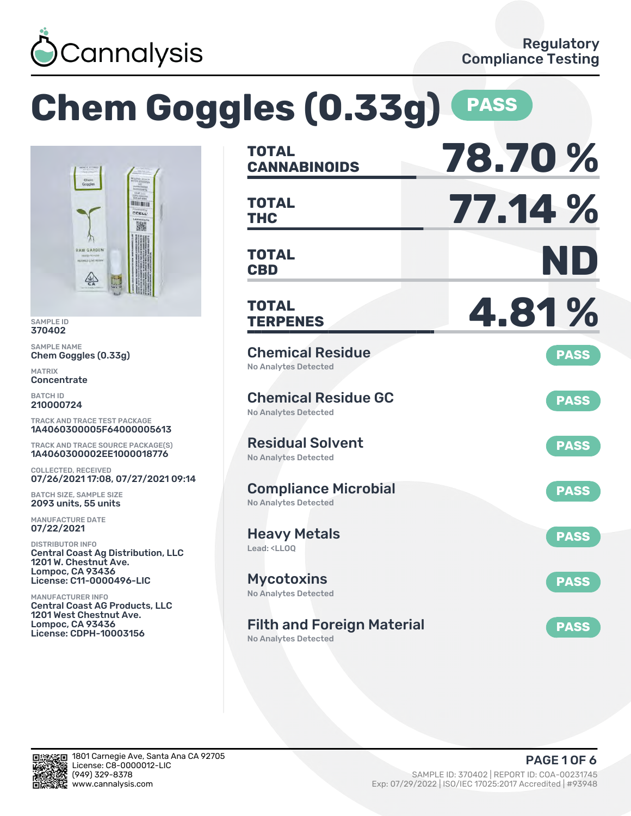

|                                                                                                                                                   | <b>Chem Goggles (0.33g)</b>                                                                     | <b>PASS</b> |
|---------------------------------------------------------------------------------------------------------------------------------------------------|-------------------------------------------------------------------------------------------------|-------------|
| Chem<br>Goggles                                                                                                                                   | <b>TOTAL</b><br><b>CANNABINOIDS</b>                                                             | 78.70%      |
| <b>HELLING</b><br>CCELL                                                                                                                           | <b>TOTAL</b><br><b>THC</b>                                                                      | 77.14 %     |
| <b>RAW GARDEN</b><br>REFINED LIVE RES<br>零                                                                                                        | <b>TOTAL</b><br><b>CBD</b>                                                                      | ND          |
| <b>SAMPLE ID</b><br>370402                                                                                                                        | <b>TOTAL</b><br><b>TERPENES</b>                                                                 | 4.81%       |
| <b>SAMPLE NAME</b><br>Chem Goggles (0.33g)<br><b>MATRIX</b><br>Concentrate                                                                        | <b>Chemical Residue</b><br>No Analytes Detected                                                 | <b>PASS</b> |
| <b>BATCH ID</b><br>210000724<br><b>TRACK AND TRACE TEST PACKAGE</b>                                                                               | <b>Chemical Residue GC</b><br><b>No Analytes Detected</b>                                       | <b>PASS</b> |
| 1A4060300005F64000005613<br><b>TRACK AND TRACE SOURCE PACKAGE(S)</b><br>1A4060300002EE1000018776                                                  | <b>Residual Solvent</b><br><b>No Analytes Detected</b>                                          | <b>PASS</b> |
| <b>COLLECTED, RECEIVED</b><br>07/26/2021 17:08, 07/27/2021 09:14<br><b>BATCH SIZE, SAMPLE SIZE</b><br>2093 units, 55 units                        | <b>Compliance Microbial</b><br><b>No Analytes Detected</b>                                      | <b>PASS</b> |
| <b>MANUFACTURE DATE</b><br>07/22/2021<br><b>DISTRIBUTOR INFO</b>                                                                                  | <b>Heavy Metals</b><br>Lead: <lloq< td=""><td><b>PASS</b></td></lloq<>                          | <b>PASS</b> |
| <b>Central Coast Ag Distribution, LLC</b><br>1201 W. Chestnut Ave.<br>Lompoc, CA 93436<br>License: C11-0000496-LIC                                | <b>Mycotoxins</b>                                                                               | <b>PASS</b> |
| <b>MANUFACTURER INFO</b><br><b>Central Coast AG Products, LLC</b><br>1201 West Chestnut Ave.<br>Lompoc, CA 93436<br><b>License: CDPH-10003156</b> | <b>No Analytes Detected</b><br><b>Filth and Foreign Material</b><br><b>No Analytes Detected</b> | <b>PASS</b> |

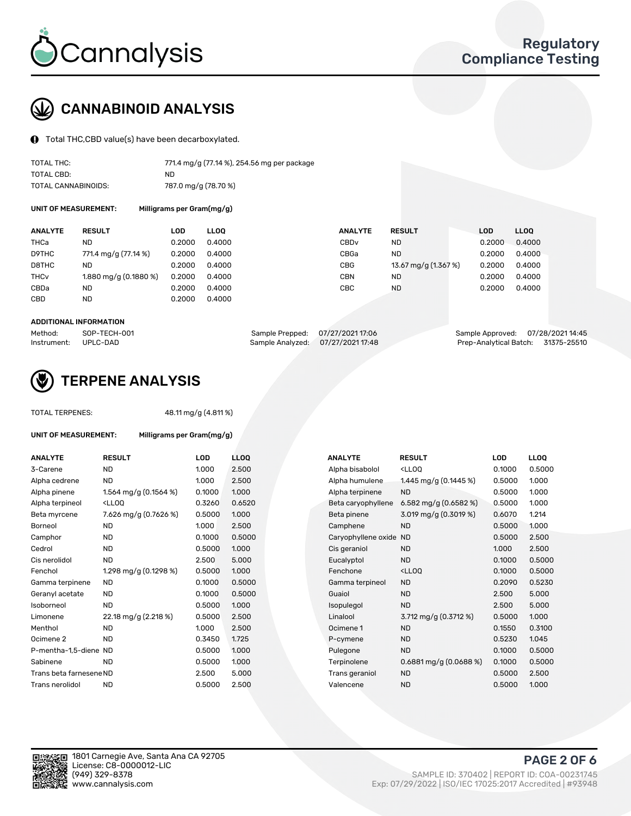

# CANNABINOID ANALYSIS

Total THC,CBD value(s) have been decarboxylated.

| TOTAL THC:          | 771.4 mg/g (77.14 %), 254.56 mg per package |
|---------------------|---------------------------------------------|
| TOTAL CBD:          | ND.                                         |
| TOTAL CANNABINOIDS: | 787.0 mg/g (78.70 %)                        |

UNIT OF MEASUREMENT: Milligrams per Gram(mg/g)

| <b>ANALYTE</b>         | <b>RESULT</b>         | LOD    | <b>LLOO</b> | <b>ANALYTE</b>   | <b>RESULT</b>        | <b>LOD</b> | <b>LLOO</b> |
|------------------------|-----------------------|--------|-------------|------------------|----------------------|------------|-------------|
| THCa                   | ND                    | 0.2000 | 0.4000      | CBD <sub>v</sub> | ND                   | 0.2000     | 0.4000      |
| D9THC                  | 771.4 mg/g (77.14 %)  | 0.2000 | 0.4000      | CBGa             | <b>ND</b>            | 0.2000     | 0.4000      |
| D8THC                  | ND                    | 0.2000 | 0.4000      | CBG              | 13.67 mg/g (1.367 %) | 0.2000     | 0.4000      |
| <b>THC<sub>v</sub></b> | 1.880 mg/g (0.1880 %) | 0.2000 | 0.4000      | CBN              | ND                   | 0.2000     | 0.4000      |
| CBDa                   | <b>ND</b>             | 0.2000 | 0.4000      | CBC              | ND                   | 0.2000     | 0.4000      |
| CBD                    | <b>ND</b>             | 0.2000 | 0.4000      |                  |                      |            |             |
|                        |                       |        |             |                  |                      |            |             |

#### ADDITIONAL INFORMATION

| Method:              | SOP-TECH-001 | Sample Prepped: 07/27/2021 17:06 |                                  | Sample Approved: 07/28/202114:45   |  |
|----------------------|--------------|----------------------------------|----------------------------------|------------------------------------|--|
| Instrument: UPLC-DAD |              |                                  | Sample Analyzed: 07/27/202117:48 | Prep-Analytical Batch: 31375-25510 |  |



## TERPENE ANALYSIS

TOTAL TERPENES: 48.11 mg/g (4.811 %)

| UNIT OF MEASUREMENT:    | Milligrams per Gram(mg/g)                         |        |            |  |  |  |  |
|-------------------------|---------------------------------------------------|--------|------------|--|--|--|--|
| <b>ANALYTE</b>          | <b>RESULT</b>                                     | LOD    | <b>LLO</b> |  |  |  |  |
| 3-Carene                | <b>ND</b>                                         | 1.000  | 2.50       |  |  |  |  |
| Alpha cedrene           | <b>ND</b>                                         | 1.000  | 2.50       |  |  |  |  |
| Alpha pinene            | 1.564 mg/g $(0.1564\%)$                           | 0.1000 | 1.00(      |  |  |  |  |
| Alpha terpineol         | <lloq< td=""><td>0.3260</td><td>0.65</td></lloq<> | 0.3260 | 0.65       |  |  |  |  |
| Beta myrcene            | 7.626 mg/g (0.7626 %)                             | 0.5000 | 1.00(      |  |  |  |  |
| Borneol                 | <b>ND</b>                                         | 1.000  | 2.50       |  |  |  |  |
| Camphor                 | <b>ND</b>                                         | 0.1000 | 0.50       |  |  |  |  |
| Cedrol                  | <b>ND</b>                                         | 0.5000 | 1.00(      |  |  |  |  |
| Cis nerolidol           | <b>ND</b>                                         | 2.500  | 5.00       |  |  |  |  |
| Fenchol                 | 1.298 mg/g $(0.1298\%)$                           | 0.5000 | 1.00(      |  |  |  |  |
| Gamma terpinene         | <b>ND</b>                                         | 0.1000 | 0.50       |  |  |  |  |
| Geranyl acetate         | <b>ND</b>                                         | 0.1000 | 0.50       |  |  |  |  |
| Isoborneol              | <b>ND</b>                                         | 0.5000 | 1.00(      |  |  |  |  |
| Limonene                | 22.18 mg/g (2.218 %)                              | 0.5000 | 2.50       |  |  |  |  |
| Menthol                 | <b>ND</b>                                         | 1.000  | 2.50       |  |  |  |  |
| Ocimene 2               | <b>ND</b>                                         | 0.3450 | 1.725      |  |  |  |  |
| P-mentha-1,5-diene ND   |                                                   | 0.5000 | 1.00(      |  |  |  |  |
| Sabinene                | <b>ND</b>                                         | 0.5000 | 1.00(      |  |  |  |  |
| Trans beta farnesene ND |                                                   | 2.500  | 5.00       |  |  |  |  |
| Trans nerolidol         | <b>ND</b>                                         | 0.5000 | 2.50       |  |  |  |  |

| <b>RESULT</b>                                                                                                                                         | LOD    | <b>LLOQ</b> | <b>ANALYTE</b>     | <b>RESULT</b>                                       | <b>LOD</b>             | <b>LLOQ</b> |
|-------------------------------------------------------------------------------------------------------------------------------------------------------|--------|-------------|--------------------|-----------------------------------------------------|------------------------|-------------|
| <b>ND</b>                                                                                                                                             | 1.000  | 2.500       | Alpha bisabolol    | <lloq< td=""><td>0.1000</td><td>0.5000</td></lloq<> | 0.1000                 | 0.5000      |
| <b>ND</b>                                                                                                                                             | 1.000  | 2.500       | Alpha humulene     | 1.445 mg/g (0.1445 %)                               | 0.5000                 | 1.000       |
| 1.564 mg/g $(0.1564\%)$                                                                                                                               | 0.1000 | 1.000       | Alpha terpinene    | <b>ND</b>                                           | 0.5000                 | 1.000       |
| <lloq< td=""><td>0.3260</td><td>0.6520</td><td>Beta caryophyllene</td><td>6.582 mg/g <math>(0.6582%)</math></td><td>0.5000</td><td>1.000</td></lloq<> | 0.3260 | 0.6520      | Beta caryophyllene | 6.582 mg/g $(0.6582%)$                              | 0.5000                 | 1.000       |
| 7.626 mg/g (0.7626 %)                                                                                                                                 | 0.5000 | 1.000       | Beta pinene        | 3.019 mg/g $(0.3019\%)$                             | 0.6070                 | 1.214       |
| ND                                                                                                                                                    | 1.000  | 2.500       | Camphene           | <b>ND</b>                                           | 0.5000                 | 1.000       |
| ND                                                                                                                                                    | 0.1000 | 0.5000      |                    |                                                     | 0.5000                 | 2.500       |
| <b>ND</b>                                                                                                                                             | 0.5000 | 1.000       | Cis geraniol       | <b>ND</b>                                           | 1.000                  | 2.500       |
| <b>ND</b>                                                                                                                                             | 2.500  | 5.000       | Eucalyptol         | ND.                                                 | 0.1000                 | 0.5000      |
| 1.298 mg/g $(0.1298\%)$                                                                                                                               | 0.5000 | 1.000       | Fenchone           | <lloq< td=""><td>0.1000</td><td>0.5000</td></lloq<> | 0.1000                 | 0.5000      |
| <b>ND</b>                                                                                                                                             | 0.1000 | 0.5000      | Gamma terpineol    | <b>ND</b>                                           | 0.2090                 | 0.5230      |
| ND.                                                                                                                                                   | 0.1000 | 0.5000      | Guaiol             | <b>ND</b>                                           | 2.500                  | 5.000       |
| <b>ND</b>                                                                                                                                             | 0.5000 | 1.000       | Isopulegol         | <b>ND</b>                                           | 2.500                  | 5.000       |
| 22.18 mg/g (2.218 %)                                                                                                                                  | 0.5000 | 2.500       | Linalool           | 3.712 mg/g $(0.3712 \%)$                            | 0.5000                 | 1.000       |
| <b>ND</b>                                                                                                                                             | 1.000  | 2.500       | Ocimene 1          | <b>ND</b>                                           | 0.1550                 | 0.3100      |
| <b>ND</b>                                                                                                                                             | 0.3450 | 1.725       | P-cymene           | <b>ND</b>                                           | 0.5230                 | 1.045       |
| P-mentha-1,5-diene ND                                                                                                                                 | 0.5000 | 1.000       | Pulegone           | <b>ND</b>                                           | 0.1000                 | 0.5000      |
| <b>ND</b>                                                                                                                                             | 0.5000 | 1.000       | Terpinolene        | $0.6881$ mg/g $(0.0688%)$                           | 0.1000                 | 0.5000      |
| Trans beta farnesene ND                                                                                                                               | 2.500  | 5.000       | Trans geraniol     | <b>ND</b>                                           | 0.5000                 | 2.500       |
| ND                                                                                                                                                    | 0.5000 | 2.500       | Valencene          | <b>ND</b>                                           | 0.5000                 | 1.000       |
|                                                                                                                                                       |        |             |                    |                                                     | Caryophyllene oxide ND |             |



PAGE 2 OF 6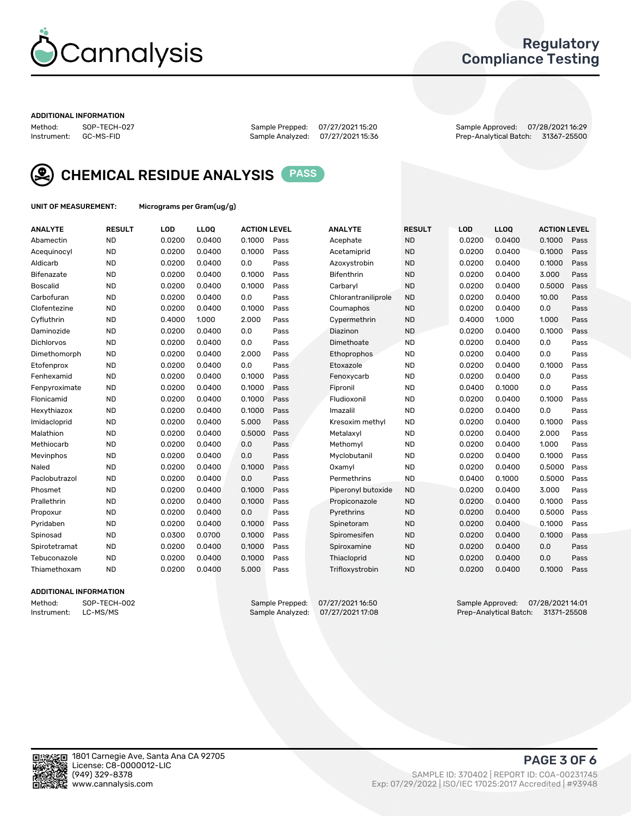

### Regulatory Compliance Testing

#### ADDITIONAL INFORMATION

Method: SOP-TECH-027 Sample Prepped: 07/27/2021 15:20 Sample Approved: 07/28/2021 16:29 Prep-Analytical Batch: 31367-25500



CHEMICAL RESIDUE ANALYSIS PASS

UNIT OF MEASUREMENT: Micrograms per Gram(ug/g)

| <b>ANALYTE</b>    | <b>RESULT</b> | LOD    | LL <sub>OO</sub> | <b>ACTION LEVEL</b> |      | <b>ANALYTE</b>      | <b>RESULT</b> | LOD    | <b>LLOQ</b> | <b>ACTION LEVEL</b> |      |
|-------------------|---------------|--------|------------------|---------------------|------|---------------------|---------------|--------|-------------|---------------------|------|
| Abamectin         | <b>ND</b>     | 0.0200 | 0.0400           | 0.1000              | Pass | Acephate            | <b>ND</b>     | 0.0200 | 0.0400      | 0.1000              | Pass |
| Acequinocyl       | <b>ND</b>     | 0.0200 | 0.0400           | 0.1000              | Pass | Acetamiprid         | <b>ND</b>     | 0.0200 | 0.0400      | 0.1000              | Pass |
| Aldicarb          | <b>ND</b>     | 0.0200 | 0.0400           | 0.0                 | Pass | Azoxystrobin        | <b>ND</b>     | 0.0200 | 0.0400      | 0.1000              | Pass |
| Bifenazate        | <b>ND</b>     | 0.0200 | 0.0400           | 0.1000              | Pass | <b>Bifenthrin</b>   | <b>ND</b>     | 0.0200 | 0.0400      | 3.000               | Pass |
| <b>Boscalid</b>   | <b>ND</b>     | 0.0200 | 0.0400           | 0.1000              | Pass | Carbaryl            | <b>ND</b>     | 0.0200 | 0.0400      | 0.5000              | Pass |
| Carbofuran        | <b>ND</b>     | 0.0200 | 0.0400           | 0.0                 | Pass | Chlorantraniliprole | <b>ND</b>     | 0.0200 | 0.0400      | 10.00               | Pass |
| Clofentezine      | <b>ND</b>     | 0.0200 | 0.0400           | 0.1000              | Pass | Coumaphos           | <b>ND</b>     | 0.0200 | 0.0400      | 0.0                 | Pass |
| Cyfluthrin        | <b>ND</b>     | 0.4000 | 1.000            | 2.000               | Pass | Cypermethrin        | <b>ND</b>     | 0.4000 | 1.000       | 1.000               | Pass |
| Daminozide        | <b>ND</b>     | 0.0200 | 0.0400           | 0.0                 | Pass | Diazinon            | <b>ND</b>     | 0.0200 | 0.0400      | 0.1000              | Pass |
| <b>Dichlorvos</b> | <b>ND</b>     | 0.0200 | 0.0400           | 0.0                 | Pass | Dimethoate          | <b>ND</b>     | 0.0200 | 0.0400      | 0.0                 | Pass |
| Dimethomorph      | <b>ND</b>     | 0.0200 | 0.0400           | 2.000               | Pass | Ethoprophos         | <b>ND</b>     | 0.0200 | 0.0400      | 0.0                 | Pass |
| Etofenprox        | <b>ND</b>     | 0.0200 | 0.0400           | 0.0                 | Pass | Etoxazole           | <b>ND</b>     | 0.0200 | 0.0400      | 0.1000              | Pass |
| Fenhexamid        | <b>ND</b>     | 0.0200 | 0.0400           | 0.1000              | Pass | Fenoxycarb          | <b>ND</b>     | 0.0200 | 0.0400      | 0.0                 | Pass |
| Fenpyroximate     | <b>ND</b>     | 0.0200 | 0.0400           | 0.1000              | Pass | Fipronil            | <b>ND</b>     | 0.0400 | 0.1000      | 0.0                 | Pass |
| Flonicamid        | <b>ND</b>     | 0.0200 | 0.0400           | 0.1000              | Pass | Fludioxonil         | <b>ND</b>     | 0.0200 | 0.0400      | 0.1000              | Pass |
| Hexythiazox       | <b>ND</b>     | 0.0200 | 0.0400           | 0.1000              | Pass | Imazalil            | <b>ND</b>     | 0.0200 | 0.0400      | 0.0                 | Pass |
| Imidacloprid      | <b>ND</b>     | 0.0200 | 0.0400           | 5.000               | Pass | Kresoxim methyl     | <b>ND</b>     | 0.0200 | 0.0400      | 0.1000              | Pass |
| Malathion         | <b>ND</b>     | 0.0200 | 0.0400           | 0.5000              | Pass | Metalaxyl           | <b>ND</b>     | 0.0200 | 0.0400      | 2.000               | Pass |
| Methiocarb        | <b>ND</b>     | 0.0200 | 0.0400           | 0.0                 | Pass | Methomyl            | <b>ND</b>     | 0.0200 | 0.0400      | 1.000               | Pass |
| Mevinphos         | <b>ND</b>     | 0.0200 | 0.0400           | 0.0                 | Pass | Myclobutanil        | <b>ND</b>     | 0.0200 | 0.0400      | 0.1000              | Pass |
| Naled             | <b>ND</b>     | 0.0200 | 0.0400           | 0.1000              | Pass | Oxamyl              | <b>ND</b>     | 0.0200 | 0.0400      | 0.5000              | Pass |
| Paclobutrazol     | <b>ND</b>     | 0.0200 | 0.0400           | 0.0                 | Pass | Permethrins         | <b>ND</b>     | 0.0400 | 0.1000      | 0.5000              | Pass |
| Phosmet           | <b>ND</b>     | 0.0200 | 0.0400           | 0.1000              | Pass | Piperonyl butoxide  | <b>ND</b>     | 0.0200 | 0.0400      | 3.000               | Pass |
| Prallethrin       | <b>ND</b>     | 0.0200 | 0.0400           | 0.1000              | Pass | Propiconazole       | <b>ND</b>     | 0.0200 | 0.0400      | 0.1000              | Pass |
| Propoxur          | <b>ND</b>     | 0.0200 | 0.0400           | 0.0                 | Pass | Pyrethrins          | <b>ND</b>     | 0.0200 | 0.0400      | 0.5000              | Pass |
| Pyridaben         | <b>ND</b>     | 0.0200 | 0.0400           | 0.1000              | Pass | Spinetoram          | <b>ND</b>     | 0.0200 | 0.0400      | 0.1000              | Pass |
| Spinosad          | <b>ND</b>     | 0.0300 | 0.0700           | 0.1000              | Pass | Spiromesifen        | <b>ND</b>     | 0.0200 | 0.0400      | 0.1000              | Pass |
| Spirotetramat     | <b>ND</b>     | 0.0200 | 0.0400           | 0.1000              | Pass | Spiroxamine         | <b>ND</b>     | 0.0200 | 0.0400      | 0.0                 | Pass |
| Tebuconazole      | <b>ND</b>     | 0.0200 | 0.0400           | 0.1000              | Pass | Thiacloprid         | <b>ND</b>     | 0.0200 | 0.0400      | 0.0                 | Pass |
| Thiamethoxam      | <b>ND</b>     | 0.0200 | 0.0400           | 5.000               | Pass | Trifloxystrobin     | <b>ND</b>     | 0.0200 | 0.0400      | 0.1000              | Pass |
|                   |               |        |                  |                     |      |                     |               |        |             |                     |      |

### ADDITIONAL INFORMATION

Method: SOP-TECH-002 Sample Prepped: 07/27/202116:50 Sample Approved: 07/28/2021 14:01<br>Instrument: LC-MS/MS Sample Analyzed: 07/27/2021 17:08 Prep-Analytical Batch: 31371-25508 Prep-Analytical Batch: 31371-25508

PAGE 3 OF 6

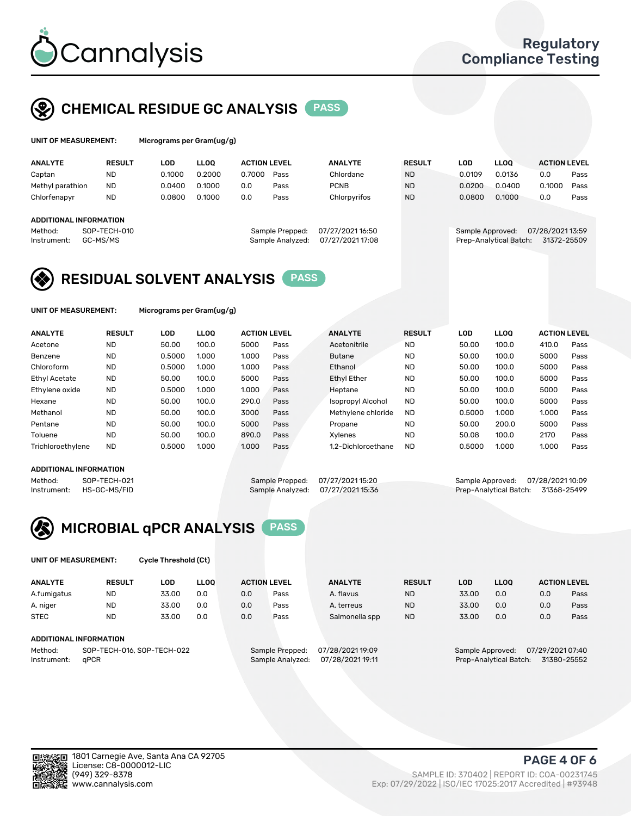

# CHEMICAL RESIDUE GC ANALYSIS PASS

| UNIT OF MEASUREMENT: | Mic |
|----------------------|-----|
|                      |     |

rograms per Gram(ug/g)

| <b>ANALYTE</b>         | <b>RESULT</b> | LOD    | <b>LLOO</b> | <b>ACTION LEVEL</b> |                  | <b>ANALYTE</b>   | <b>RESULT</b> | <b>LOD</b>       | <b>LLOO</b>            | <b>ACTION LEVEL</b> |      |
|------------------------|---------------|--------|-------------|---------------------|------------------|------------------|---------------|------------------|------------------------|---------------------|------|
| Captan                 | <b>ND</b>     | 0.1000 | 0.2000      | 0.7000              | Pass             | Chlordane        | <b>ND</b>     | 0.0109           | 0.0136                 | 0.0                 | Pass |
| Methyl parathion       | <b>ND</b>     | 0.0400 | 0.1000      | 0.0                 | Pass             | <b>PCNB</b>      | <b>ND</b>     | 0.0200           | 0.0400                 | 0.1000              | Pass |
| Chlorfenapyr           | <b>ND</b>     | 0.0800 | 0.1000      | 0.0                 | Pass             | Chlorpyrifos     | <b>ND</b>     | 0.0800           | 0.1000                 | 0.0                 | Pass |
|                        |               |        |             |                     |                  |                  |               |                  |                        |                     |      |
| ADDITIONAL INFORMATION |               |        |             |                     |                  |                  |               |                  |                        |                     |      |
| Method:                | SOP-TECH-010  |        |             |                     | Sample Prepped:  | 07/27/2021 16:50 |               | Sample Approved: |                        | 07/28/2021 13:59    |      |
| Instrument:            | GC-MS/MS      |        |             |                     | Sample Analyzed: | 07/27/2021 17:08 |               |                  | Prep-Analytical Batch: | 31372-25509         |      |
|                        |               |        |             |                     |                  |                  |               |                  |                        |                     |      |

## RESIDUAL SOLVENT ANALYSIS PASS

UNIT OF MEASUREMENT: Micrograms per Gram(ug/g)

| <b>ANALYTE</b>    | <b>RESULT</b> | LOD    | <b>LLOO</b> | <b>ACTION LEVEL</b> |      | <b>ANALYTE</b>     | <b>RESULT</b> | <b>LOD</b> | <b>LLOO</b> | <b>ACTION LEVEL</b> |      |
|-------------------|---------------|--------|-------------|---------------------|------|--------------------|---------------|------------|-------------|---------------------|------|
| Acetone           | <b>ND</b>     | 50.00  | 100.0       | 5000                | Pass | Acetonitrile       | <b>ND</b>     | 50.00      | 100.0       | 410.0               | Pass |
| Benzene           | <b>ND</b>     | 0.5000 | 1.000       | 1.000               | Pass | <b>Butane</b>      | <b>ND</b>     | 50.00      | 100.0       | 5000                | Pass |
| Chloroform        | <b>ND</b>     | 0.5000 | 1.000       | 1.000               | Pass | Ethanol            | <b>ND</b>     | 50.00      | 100.0       | 5000                | Pass |
| Ethyl Acetate     | <b>ND</b>     | 50.00  | 100.0       | 5000                | Pass | Ethyl Ether        | <b>ND</b>     | 50.00      | 100.0       | 5000                | Pass |
| Ethylene oxide    | <b>ND</b>     | 0.5000 | 1.000       | 1.000               | Pass | Heptane            | <b>ND</b>     | 50.00      | 100.0       | 5000                | Pass |
| Hexane            | <b>ND</b>     | 50.00  | 100.0       | 290.0               | Pass | Isopropyl Alcohol  | <b>ND</b>     | 50.00      | 100.0       | 5000                | Pass |
| Methanol          | <b>ND</b>     | 50.00  | 100.0       | 3000                | Pass | Methylene chloride | <b>ND</b>     | 0.5000     | 1.000       | 1.000               | Pass |
| Pentane           | <b>ND</b>     | 50.00  | 100.0       | 5000                | Pass | Propane            | <b>ND</b>     | 50.00      | 200.0       | 5000                | Pass |
| Toluene           | <b>ND</b>     | 50.00  | 100.0       | 890.0               | Pass | Xvlenes            | <b>ND</b>     | 50.08      | 100.0       | 2170                | Pass |
| Trichloroethylene | <b>ND</b>     | 0.5000 | 1.000       | 1.000               | Pass | 1.2-Dichloroethane | <b>ND</b>     | 0.5000     | 1.000       | 1.000               | Pass |
|                   |               |        |             |                     |      |                    |               |            |             |                     |      |

### ADDITIONAL INFORMATION

Method: SOP-TECH-021 Sample Prepped: 07/27/2021 15:20 Sample Approved: 07/28/2021 10:09<br>Instrument: HS-GC-MS/FID Sample Analyzed: 07/27/2021 15:36 Prep-Analytical Batch: 31368-25499 Prep-Analytical Batch: 31368-25499



UNIT OF MEASUREMENT: Cycle Threshold (Ct)

| <b>ANALYTE</b>         | <b>RESULT</b>               | LOD   | <b>LLOO</b> | <b>ACTION LEVEL</b> |                 | <b>ANALYTE</b> | <b>RESULT</b> | LOD               | <b>LLOO</b>     |     | <b>ACTION LEVEL</b> |
|------------------------|-----------------------------|-------|-------------|---------------------|-----------------|----------------|---------------|-------------------|-----------------|-----|---------------------|
| A.fumigatus            | <b>ND</b>                   | 33.00 | 0.0         | 0.0                 | Pass            | A. flavus      | <b>ND</b>     | 33.00             | 0.0             | 0.0 | Pass                |
| A. niger               | <b>ND</b>                   | 33.00 | 0.0         | 0.0                 | Pass            | A. terreus     | <b>ND</b>     | 33.00             | 0.0             | 0.0 | Pass                |
| <b>STEC</b>            | <b>ND</b>                   | 33.00 | 0.0         | 0.0                 | Pass            | Salmonella spp | <b>ND</b>     | 33.00             | 0.0             | 0.0 | Pass                |
| ADDITIONAL INFORMATION |                             |       |             |                     |                 |                |               |                   |                 |     |                     |
| Mathad.                | COD TEQUIO AL COD TEQUIO 20 |       |             | Comple Despood.     | 07/00/000140.00 |                |               | Consele Annuausdi | 07/00/002407.40 |     |                     |

Method: SOP-TECH-016, SOP-TECH-022 Sample Prepped: 07/28/2021 19:09 Sample Approved: 07/29/2021 07:40 Instrument: qPCR Sample Analyzed: 07/28/2021 19:11 Prep-Analytical Batch: 31380-25552

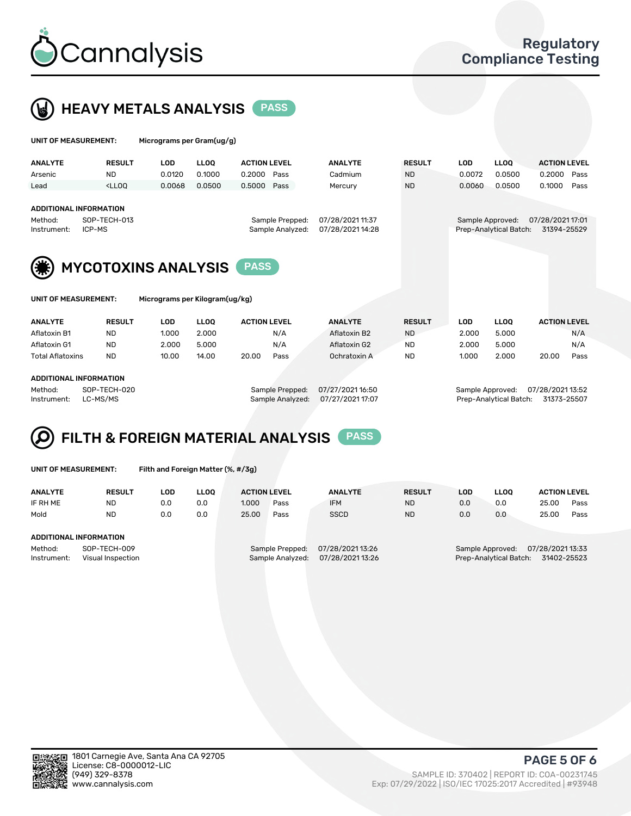

 $U$ UNIT OF MEASUREMENT: Micrograms per Gram(ug/g)



| <b>ANALYTE</b>                            | <b>RESULT</b>                                                                                                                                                               | <b>LOD</b>           | <b>LLOO</b>                    | <b>ACTION LEVEL</b> |      | <b>ANALYTE</b>                       | <b>RESULT</b> | <b>LOD</b>           | LLOO <sup>1</sup>                          | <b>ACTION LEVEL</b>             |      |  |
|-------------------------------------------|-----------------------------------------------------------------------------------------------------------------------------------------------------------------------------|----------------------|--------------------------------|---------------------|------|--------------------------------------|---------------|----------------------|--------------------------------------------|---------------------------------|------|--|
| Arsenic                                   | <b>ND</b>                                                                                                                                                                   | 0.0120               | 0.1000                         | 0.2000              | Pass | Cadmium                              | <b>ND</b>     | 0.0072               | 0.0500                                     | 0.2000                          | Pass |  |
| Lead                                      | <lloo< th=""><th>0.0068</th><th>0.0500</th><th>0.5000</th><th>Pass</th><th>Mercury</th><th><b>ND</b></th><th>0.0060</th><th>0.0500</th><th>0.1000</th><th>Pass</th></lloo<> | 0.0068               | 0.0500                         | 0.5000              | Pass | Mercury                              | <b>ND</b>     | 0.0060               | 0.0500                                     | 0.1000                          | Pass |  |
| Method:<br>Instrument:                    | ADDITIONAL INFORMATION<br>SOP-TECH-013<br>Sample Prepped:<br>Sample Analyzed:<br>ICP-MS                                                                                     |                      |                                |                     |      | 07/28/2021 11:37<br>07/28/2021 14:28 |               |                      | Sample Approved:<br>Prep-Analytical Batch: | 07/28/2021 17:01<br>31394-25529 |      |  |
| <b>MYCOTOXINS ANALYSIS</b><br><b>PASS</b> |                                                                                                                                                                             |                      |                                |                     |      |                                      |               |                      |                                            |                                 |      |  |
| UNIT OF MEASUREMENT:                      |                                                                                                                                                                             |                      | Micrograms per Kilogram(ug/kg) |                     |      |                                      |               |                      |                                            |                                 |      |  |
| . <i>.</i>                                | ------                                                                                                                                                                      | $\sim$ $\sim$ $\sim$ | $\cdots$                       | .                   |      |                                      |               | $\sim$ $\sim$ $\sim$ | $\cdots$                                   | ----------                      |      |  |

| <b>ANALYTE</b>          | <b>RESULT</b> | LOD   | LLOO            | <b>ACTION LEVEL</b>                  | <b>ANALYTE</b> | <b>RESULT</b> | ∟OD.  | LLOO            | <b>ACTION LEVEL</b> |      |
|-------------------------|---------------|-------|-----------------|--------------------------------------|----------------|---------------|-------|-----------------|---------------------|------|
| Aflatoxin B1            | ND            | 1.000 | 2.000           | N/A                                  | Aflatoxin B2   | <b>ND</b>     | 2.000 | 5.000           |                     | N/A  |
| Aflatoxin G1            | ND            | 2.000 | 5.000           | N/A                                  | Aflatoxin G2   | ND            | 2.000 | 5.000           |                     | N/A  |
| <b>Total Aflatoxins</b> | <b>ND</b>     | 10.00 | 14.00           | 20.00<br>Pass                        | Ochratoxin A   | <b>ND</b>     | 1.000 | 2.000           | 20.00               | Pass |
|                         |               |       |                 |                                      |                |               |       |                 |                     |      |
| ADDITIONAL INFORMATION  |               |       |                 |                                      |                |               |       |                 |                     |      |
| Method:                 | SOP-TECH-020  |       | Sample Prepped: | 07/27/2021 16:50<br>Sample Approved: |                |               |       | 07/28/202113:52 |                     |      |
|                         |               |       |                 |                                      |                |               |       |                 |                     |      |

Instrument: LC-MS/MS Sample Analyzed: 07/27/2021 17:07 Prep-Analytical Batch: 31373-25507



|  | UNIT OF MEASUREMENT: |
|--|----------------------|
|  |                      |

Filth and Foreign Matter (%, #/3g)

| <b>ANALYTE</b>                                              | <b>RESULT</b> | LOD | <b>LLOO</b> | <b>ACTION LEVEL</b>                                                       |      | <b>ANALYTE</b> | <b>RESULT</b> | LOD                                                                           | <b>LLOO</b> | <b>ACTION LEVEL</b> |      |
|-------------------------------------------------------------|---------------|-----|-------------|---------------------------------------------------------------------------|------|----------------|---------------|-------------------------------------------------------------------------------|-------------|---------------------|------|
| IF RH ME                                                    | <b>ND</b>     | 0.0 | 0.0         | 1.000                                                                     | Pass | <b>IFM</b>     | <b>ND</b>     | 0.0                                                                           | 0.0         | 25.00               | Pass |
| Mold                                                        | <b>ND</b>     | 0.0 | 0.0         | 25.00                                                                     | Pass | <b>SSCD</b>    | <b>ND</b>     | 0.0                                                                           | 0.0         | 25.00               | Pass |
| ADDITIONAL INFORMATION                                      |               |     |             |                                                                           |      |                |               |                                                                               |             |                     |      |
| Method:<br>SOP-TECH-009<br>Instrument:<br>Visual Inspection |               |     |             | 07/28/202113:26<br>Sample Prepped:<br>07/28/202113:26<br>Sample Analyzed: |      |                |               | 07/28/2021 13:33<br>Sample Approved:<br>31402-25523<br>Prep-Analytical Batch: |             |                     |      |



PAGE 5 OF 6